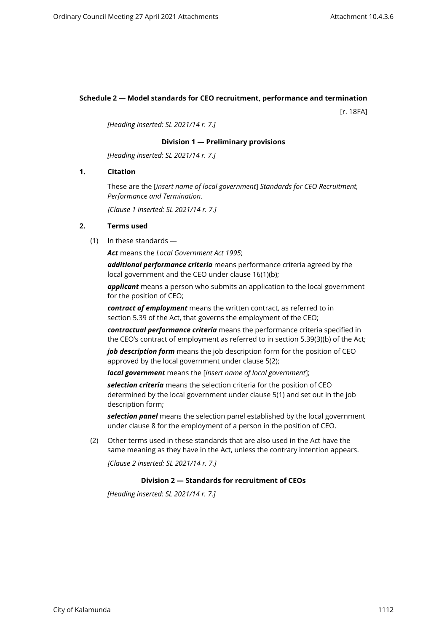# **Schedule 2 — Model standards for CEO recruitment, performance and termination**

[r. 18FA]

*[Heading inserted: SL 2021/14 r. 7.]*

### **Division 1 — Preliminary provisions**

*[Heading inserted: SL 2021/14 r. 7.]*

# **1. Citation**

These are the [*insert name of local government*] *Standards for CEO Recruitment, Performance and Termination*.

*[Clause 1 inserted: SL 2021/14 r. 7.]*

# **2. Terms used**

(1) In these standards —

*Act* means the *Local Government Act 1995*;

*additional performance criteria* means performance criteria agreed by the local government and the CEO under clause 16(1)(b);

*applicant* means a person who submits an application to the local government for the position of CEO;

*contract of employment* means the written contract, as referred to in section 5.39 of the Act, that governs the employment of the CEO;

*contractual performance criteria* means the performance criteria specified in the CEO's contract of employment as referred to in section 5.39(3)(b) of the Act;

*job description form* means the job description form for the position of CEO approved by the local government under clause 5(2);

*local government* means the [*insert name of local government*];

*selection criteria* means the selection criteria for the position of CEO determined by the local government under clause 5(1) and set out in the job description form;

*selection panel* means the selection panel established by the local government under clause 8 for the employment of a person in the position of CEO.

(2) Other terms used in these standards that are also used in the Act have the same meaning as they have in the Act, unless the contrary intention appears.

*[Clause 2 inserted: SL 2021/14 r. 7.]*

#### **Division 2 — Standards for recruitment of CEOs**

*[Heading inserted: SL 2021/14 r. 7.]*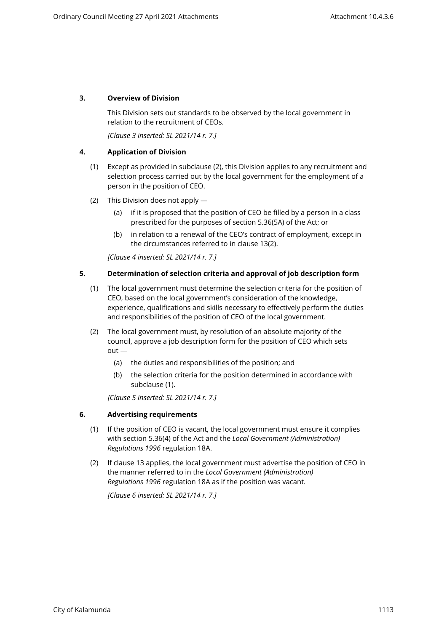## **3. Overview of Division**

This Division sets out standards to be observed by the local government in relation to the recruitment of CEOs.

*[Clause 3 inserted: SL 2021/14 r. 7.]*

### **4. Application of Division**

- (1) Except as provided in subclause (2), this Division applies to any recruitment and selection process carried out by the local government for the employment of a person in the position of CEO.
- (2) This Division does not apply
	- (a) if it is proposed that the position of CEO be filled by a person in a class prescribed for the purposes of section 5.36(5A) of the Act; or
	- (b) in relation to a renewal of the CEO's contract of employment, except in the circumstances referred to in clause 13(2).

*[Clause 4 inserted: SL 2021/14 r. 7.]*

### **5. Determination of selection criteria and approval of job description form**

- (1) The local government must determine the selection criteria for the position of CEO, based on the local government's consideration of the knowledge, experience, qualifications and skills necessary to effectively perform the duties and responsibilities of the position of CEO of the local government.
- (2) The local government must, by resolution of an absolute majority of the council, approve a job description form for the position of CEO which sets  $out -$ 
	- (a) the duties and responsibilities of the position; and
	- (b) the selection criteria for the position determined in accordance with subclause (1).

*[Clause 5 inserted: SL 2021/14 r. 7.]*

## **6. Advertising requirements**

- (1) If the position of CEO is vacant, the local government must ensure it complies with section 5.36(4) of the Act and the *Local Government (Administration) Regulations 1996* regulation 18A.
- (2) If clause 13 applies, the local government must advertise the position of CEO in the manner referred to in the *Local Government (Administration) Regulations 1996* regulation 18A as if the position was vacant.

*[Clause 6 inserted: SL 2021/14 r. 7.]*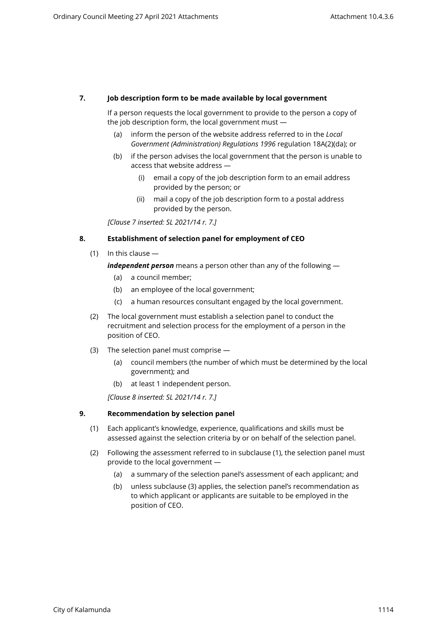## **7. Job description form to be made available by local government**

If a person requests the local government to provide to the person a copy of the job description form, the local government must —

- (a) inform the person of the website address referred to in the *Local Government (Administration) Regulations 1996* regulation 18A(2)(da); or
- (b) if the person advises the local government that the person is unable to access that website address —
	- (i) email a copy of the job description form to an email address provided by the person; or
	- (ii) mail a copy of the job description form to a postal address provided by the person.

*[Clause 7 inserted: SL 2021/14 r. 7.]*

#### **8. Establishment of selection panel for employment of CEO**

(1) In this clause —

*independent person* means a person other than any of the following —

- (a) a council member;
- (b) an employee of the local government;
- (c) a human resources consultant engaged by the local government.
- (2) The local government must establish a selection panel to conduct the recruitment and selection process for the employment of a person in the position of CEO.
- (3) The selection panel must comprise
	- (a) council members (the number of which must be determined by the local government); and
	- (b) at least 1 independent person.

*[Clause 8 inserted: SL 2021/14 r. 7.]*

#### **9. Recommendation by selection panel**

- (1) Each applicant's knowledge, experience, qualifications and skills must be assessed against the selection criteria by or on behalf of the selection panel.
- (2) Following the assessment referred to in subclause (1), the selection panel must provide to the local government —
	- (a) a summary of the selection panel's assessment of each applicant; and
	- (b) unless subclause (3) applies, the selection panel's recommendation as to which applicant or applicants are suitable to be employed in the position of CEO.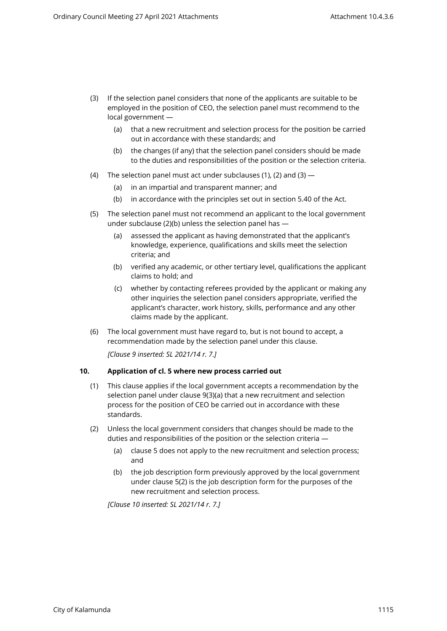- (3) If the selection panel considers that none of the applicants are suitable to be employed in the position of CEO, the selection panel must recommend to the local government —
	- (a) that a new recruitment and selection process for the position be carried out in accordance with these standards; and
	- (b) the changes (if any) that the selection panel considers should be made to the duties and responsibilities of the position or the selection criteria.
- (4) The selection panel must act under subclauses (1), (2) and (3)  $-$ 
	- (a) in an impartial and transparent manner; and
	- (b) in accordance with the principles set out in section 5.40 of the Act.
- (5) The selection panel must not recommend an applicant to the local government under subclause (2)(b) unless the selection panel has —
	- (a) assessed the applicant as having demonstrated that the applicant's knowledge, experience, qualifications and skills meet the selection criteria; and
	- (b) verified any academic, or other tertiary level, qualifications the applicant claims to hold; and
	- (c) whether by contacting referees provided by the applicant or making any other inquiries the selection panel considers appropriate, verified the applicant's character, work history, skills, performance and any other claims made by the applicant.
- (6) The local government must have regard to, but is not bound to accept, a recommendation made by the selection panel under this clause.

*[Clause 9 inserted: SL 2021/14 r. 7.]*

#### **10. Application of cl. 5 where new process carried out**

- (1) This clause applies if the local government accepts a recommendation by the selection panel under clause 9(3)(a) that a new recruitment and selection process for the position of CEO be carried out in accordance with these standards.
- (2) Unless the local government considers that changes should be made to the duties and responsibilities of the position or the selection criteria —
	- (a) clause 5 does not apply to the new recruitment and selection process; and
	- (b) the job description form previously approved by the local government under clause 5(2) is the job description form for the purposes of the new recruitment and selection process.

*[Clause 10 inserted: SL 2021/14 r. 7.]*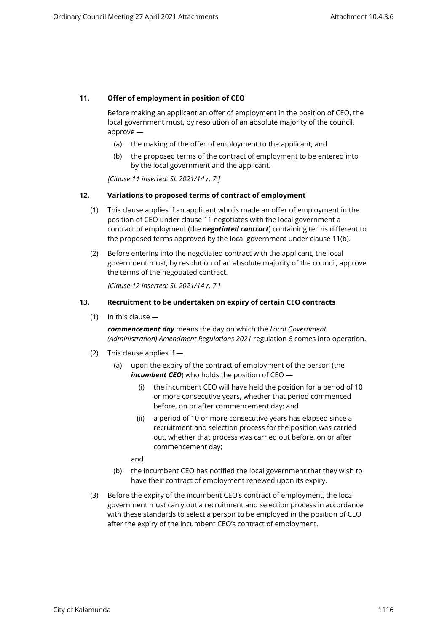## **11. Offer of employment in position of CEO**

Before making an applicant an offer of employment in the position of CEO, the local government must, by resolution of an absolute majority of the council, approve —

- (a) the making of the offer of employment to the applicant; and
- (b) the proposed terms of the contract of employment to be entered into by the local government and the applicant.

*[Clause 11 inserted: SL 2021/14 r. 7.]*

## **12. Variations to proposed terms of contract of employment**

- (1) This clause applies if an applicant who is made an offer of employment in the position of CEO under clause 11 negotiates with the local government a contract of employment (the *negotiated contract*) containing terms different to the proposed terms approved by the local government under clause 11(b).
- (2) Before entering into the negotiated contract with the applicant, the local government must, by resolution of an absolute majority of the council, approve the terms of the negotiated contract.

*[Clause 12 inserted: SL 2021/14 r. 7.]*

### **13. Recruitment to be undertaken on expiry of certain CEO contracts**

(1) In this clause —

*commencement day* means the day on which the *Local Government (Administration) Amendment Regulations 2021* regulation 6 comes into operation.

- (2) This clause applies if
	- (a) upon the expiry of the contract of employment of the person (the *incumbent CEO*) who holds the position of CEO —
		- (i) the incumbent CEO will have held the position for a period of 10 or more consecutive years, whether that period commenced before, on or after commencement day; and
		- (ii) a period of 10 or more consecutive years has elapsed since a recruitment and selection process for the position was carried out, whether that process was carried out before, on or after commencement day;

and

- (b) the incumbent CEO has notified the local government that they wish to have their contract of employment renewed upon its expiry.
- (3) Before the expiry of the incumbent CEO's contract of employment, the local government must carry out a recruitment and selection process in accordance with these standards to select a person to be employed in the position of CEO after the expiry of the incumbent CEO's contract of employment.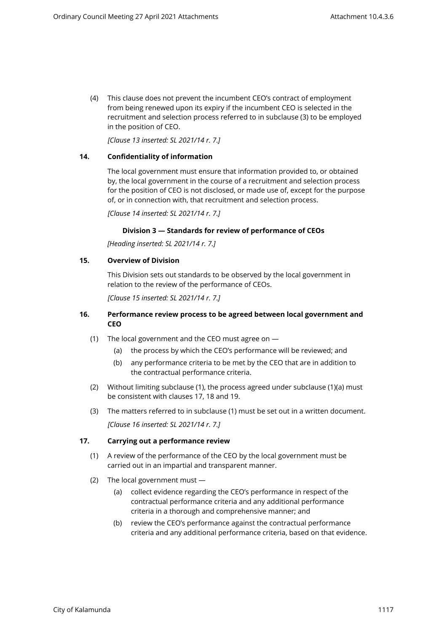(4) This clause does not prevent the incumbent CEO's contract of employment from being renewed upon its expiry if the incumbent CEO is selected in the recruitment and selection process referred to in subclause (3) to be employed in the position of CEO.

*[Clause 13 inserted: SL 2021/14 r. 7.]*

### **14. Confidentiality of information**

The local government must ensure that information provided to, or obtained by, the local government in the course of a recruitment and selection process for the position of CEO is not disclosed, or made use of, except for the purpose of, or in connection with, that recruitment and selection process.

*[Clause 14 inserted: SL 2021/14 r. 7.]*

### **Division 3 — Standards for review of performance of CEOs**

*[Heading inserted: SL 2021/14 r. 7.]*

### **15. Overview of Division**

This Division sets out standards to be observed by the local government in relation to the review of the performance of CEOs.

*[Clause 15 inserted: SL 2021/14 r. 7.]*

### **16. Performance review process to be agreed between local government and CEO**

- (1) The local government and the CEO must agree on
	- (a) the process by which the CEO's performance will be reviewed; and
	- (b) any performance criteria to be met by the CEO that are in addition to the contractual performance criteria.
- (2) Without limiting subclause (1), the process agreed under subclause (1)(a) must be consistent with clauses 17, 18 and 19.
- (3) The matters referred to in subclause (1) must be set out in a written document. *[Clause 16 inserted: SL 2021/14 r. 7.]*

## **17. Carrying out a performance review**

- (1) A review of the performance of the CEO by the local government must be carried out in an impartial and transparent manner.
- (2) The local government must
	- (a) collect evidence regarding the CEO's performance in respect of the contractual performance criteria and any additional performance criteria in a thorough and comprehensive manner; and
	- (b) review the CEO's performance against the contractual performance criteria and any additional performance criteria, based on that evidence.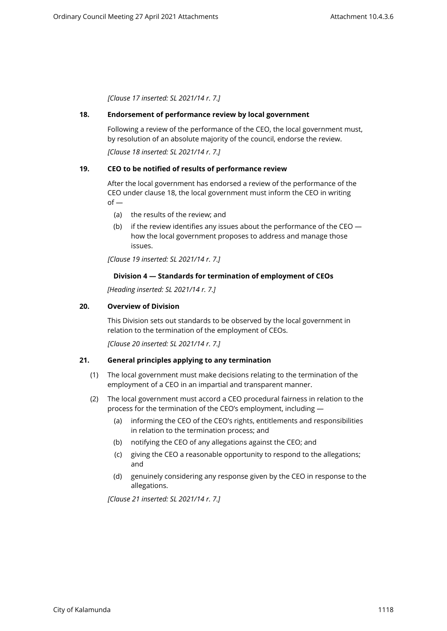*[Clause 17 inserted: SL 2021/14 r. 7.]*

### **18. Endorsement of performance review by local government**

Following a review of the performance of the CEO, the local government must, by resolution of an absolute majority of the council, endorse the review.

*[Clause 18 inserted: SL 2021/14 r. 7.]*

## **19. CEO to be notified of results of performance review**

After the local government has endorsed a review of the performance of the CEO under clause 18, the local government must inform the CEO in writing  $of -$ 

- (a) the results of the review; and
- (b) if the review identifies any issues about the performance of the CEO  $$ how the local government proposes to address and manage those issues.

*[Clause 19 inserted: SL 2021/14 r. 7.]*

## **Division 4 — Standards for termination of employment of CEOs**

*[Heading inserted: SL 2021/14 r. 7.]*

### **20. Overview of Division**

This Division sets out standards to be observed by the local government in relation to the termination of the employment of CEOs.

*[Clause 20 inserted: SL 2021/14 r. 7.]*

## **21. General principles applying to any termination**

- (1) The local government must make decisions relating to the termination of the employment of a CEO in an impartial and transparent manner.
- (2) The local government must accord a CEO procedural fairness in relation to the process for the termination of the CEO's employment, including —
	- (a) informing the CEO of the CEO's rights, entitlements and responsibilities in relation to the termination process; and
	- (b) notifying the CEO of any allegations against the CEO; and
	- (c) giving the CEO a reasonable opportunity to respond to the allegations; and
	- (d) genuinely considering any response given by the CEO in response to the allegations.

*[Clause 21 inserted: SL 2021/14 r. 7.]*